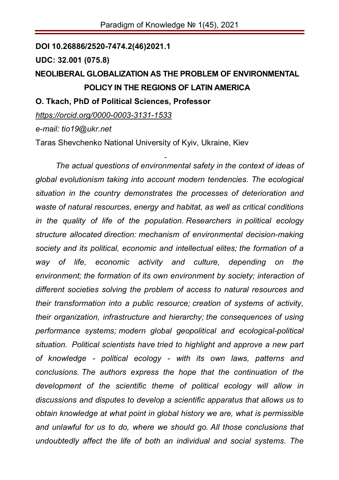**DOI 10.26886/2520-7474.2(46)2021.1**

**UDC: 32.001 (075.8)** 

## **NEOLIBERAL GLOBALIZATION AS THE PROBLEM OF ENVIRONMENTAL POLICY IN THE REGIONS OF LATIN AMERICA**

**O. Tkach, PhD of Political Sciences, Professor** 

*https://orcid.org/0000-0003-3131-1533*

*e-mail: tio19@ukr.net* 

Taras Shevchenko National University of Kyiv, Ukraine, Kiev

- *The actual questions of environmental safety in the context of ideas of global evolutionism taking into account modern tendencies. The ecological situation in the country demonstrates the processes of deterioration and waste of natural resources, energy and habitat, as well as critical conditions in the quality of life of the population. Researchers in political ecology structure allocated direction: mechanism of environmental decision-making society and its political, economic and intellectual elites; the formation of a way of life, economic activity and culture, depending on the environment; the formation of its own environment by society; interaction of different societies solving the problem of access to natural resources and their transformation into a public resource; creation of systems of activity, their organization, infrastructure and hierarchy; the consequences of using performance systems; modern global geopolitical and ecological-political situation. Political scientists have tried to highlight and approve a new part of knowledge - political ecology - with its own laws, patterns and conclusions. The authors express the hope that the continuation of the development of the scientific theme of political ecology will allow in discussions and disputes to develop a scientific apparatus that allows us to obtain knowledge at what point in global history we are, what is permissible and unlawful for us to do, where we should go. All those conclusions that undoubtedly affect the life of both an individual and social systems. The*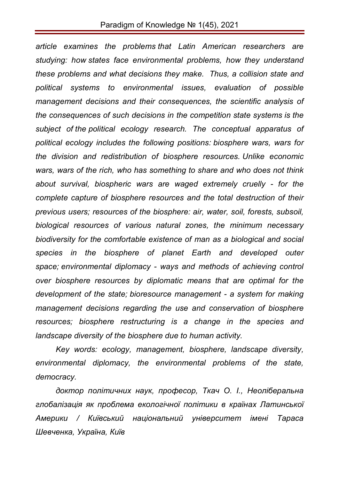*article examines the problems that Latin American researchers are studying: how states face environmental problems, how they understand these problems and what decisions they make. Thus, a collision state and political systems to environmental issues, evaluation of possible management decisions and their consequences, the scientific analysis of the consequences of such decisions in the competition state systems is the subject of the political ecology research. The conceptual apparatus of political ecology includes the following positions: biosphere wars, wars for the division and redistribution of biosphere resources. Unlike economic wars, wars of the rich, who has something to share and who does not think about survival, biospheric wars are waged extremely cruelly - for the complete capture of biosphere resources and the total destruction of their previous users; resources of the biosphere: air, water, soil, forests, subsoil, biological resources of various natural zones, the minimum necessary biodiversity for the comfortable existence of man as a biological and social species in the biosphere of planet Earth and developed outer space; environmental diplomacy - ways and methods of achieving control over biosphere resources by diplomatic means that are optimal for the development of the state; bioresource management - a system for making management decisions regarding the use and conservation of biosphere resources; biosphere restructuring is a change in the species and landscape diversity of the biosphere due to human activity.* 

*Key words: ecology, management, biosphere, landscape diversity, environmental diplomacy, the environmental problems of the state, democracy.*

*доктор політичних наук, професор, Ткач О. І., Неоліберальна глобалізація як проблема екологічної політики в країнах Латинської Америки / Київський національний університет імені Тараса Шевченка, Україна, Київ*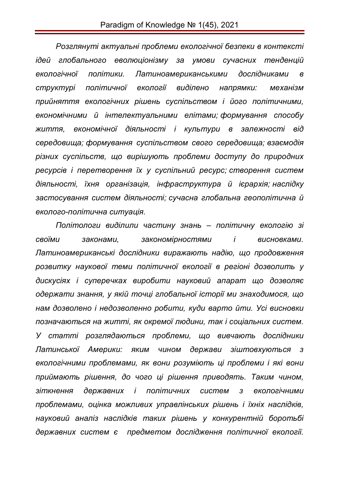*Розглянуті актуальні проблеми екологічної безпеки в контексті ідей глобального еволюціонізму за умови сучасних тенденцій екологічної політики. Латиноамериканськими дослідниками в структурі політичної екології виділено напрямки: механізм прийняття екологічних рішень суспільством і його політичними, економічними й інтелектуальними елітами; формування способу життя, економічної діяльності і культури в залежності від середовища; формування суспільством свого середовища; взаємодія різних суспільств, що вирішують проблеми доступу до природних ресурсів і перетворення їх у суспільний ресурс; створення систем діяльності, їхня організація, інфраструктура й ієрархія; наслідку застосування систем діяльності; сучасна глобальна геополітична й еколого-політична ситуація.*

*Політологи виділили частину знань – політичну екологію зі своїми законами, закономірностями і висновками. Латиноамериканські дослідники виражають надію, що продовження розвитку наукової теми політичної екології в регіоні дозволить у дискусіях і суперечках виробити науковий апарат що дозволяє одержати знання, у якій точці глобальної історії ми знаходимося, що нам дозволено і недозволенно робити, куди варто йти. Усі висновки позначаються на житті, як окремої людини, так і соціальних систем. У статті розглядаються проблеми, що вивчають дослідники Латинської Америки: яким чином держави зіштовхуються з екологічними проблемами, як вони розуміють ці проблеми і які вони приймають рішення, до чого ці рішення приводять. Таким чином, зіткнення державних і політичних систем з екологічними проблемами, оцінка можливих управлінських рішень і їхніх наслідків, науковий аналіз наслідків таких рішень у конкурентній боротьбі державних систем є предметом дослідження політичної екології.*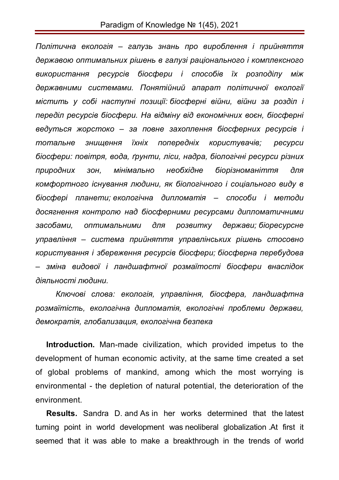*Політична екологія – галузь знань про вироблення і прийняття державою оптимальних рішень в галузі раціонального і комплексного використання ресурсів біосфери і способів їх розподілу між державними системами. Понятійний апарат політичної екології містить у собі наступні позиції: біосферні війни, війни за розділ і переділ ресурсів біосфери. На відміну від економічних воєн, біосферні ведуться жорстоко – за повне захоплення біосферних ресурсів і тотальне знищення їхніх попередніх користувачів; ресурси біосфери: повітря, вода, ґрунти, ліси, надра, біологічні ресурси різних природних зон, мінімально необхідне біорізноманіття для комфортного існування людини, як біологічного і соціального виду в біосфері планети; екологічна дипломатія – способи і методи досягнення контролю над біосферними ресурсами дипломатичними засобами, оптимальними для розвитку держави; біоресурсне управління – система прийняття управлінських рішень стосовно користування і збереження ресурсів біосфери; біосферна перебудова – зміна видової і ландшафтної розмаїтості біосфери внаслідок діяльності людини.*

*Ключові слова: екологія, управління, біосфера, ландшафтна розмаїтість, екологічна дипломатія, екологічні проблеми держави, демократія, глобализация, екологічна безпека*

**Introduction.** Man-made civilization, which provided impetus to the development of human economic activity, at the same time created a set of global problems of mankind, among which the most worrying is environmental - the depletion of natural potential, the deterioration of the environment.

**Results.** Sandra D. and As in her works determined that the latest turning point in world development was neoliberal globalization .At first it seemed that it was able to make a breakthrough in the trends of world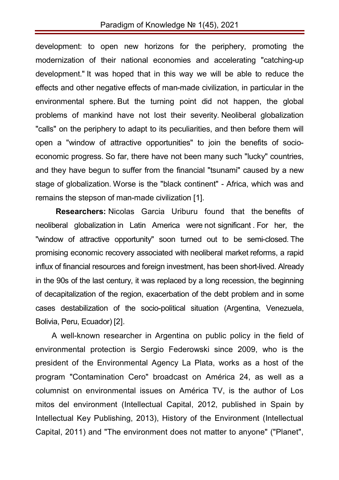development: to open new horizons for the periphery, promoting the modernization of their national economies and accelerating "catching-up development." It was hoped that in this way we will be able to reduce the effects and other negative effects of man-made civilization, in particular in the environmental sphere. But the turning point did not happen, the global problems of mankind have not lost their severity. Neoliberal globalization "calls" on the periphery to adapt to its peculiarities, and then before them will open a "window of attractive opportunities" to join the benefits of socioeconomic progress. So far, there have not been many such "lucky" countries, and they have begun to suffer from the financial "tsunami" caused by a new stage of globalization. Worse is the "black continent" - Africa, which was and remains the stepson of man-made civilization [1].

**Researchers:** Nicolas Garcia Uriburu found that the benefits of neoliberal globalization in Latin America were not significant . For her, the "window of attractive opportunity" soon turned out to be semi-closed. The promising economic recovery associated with neoliberal market reforms, a rapid influx of financial resources and foreign investment, has been short-lived. Already in the 90s of the last century, it was replaced by a long recession, the beginning of decapitalization of the region, exacerbation of the debt problem and in some cases destabilization of the socio-political situation (Argentina, Venezuela, Bolivia, Peru, Ecuador) [2].

A well-known researcher in Argentina on public policy in the field of environmental protection is Sergio Federowski since 2009, who is the president of the Environmental Agency La Plata, works as a host of the program "Contamination Cero" broadcast on América 24, as well as a columnist on environmental issues on América TV, is the author of Los mitos del environment (Intellectual Capital, 2012, published in Spain by Intellectual Key Publishing, 2013), History of the Environment (Intellectual Capital, 2011) and "The environment does not matter to anyone" ("Planet",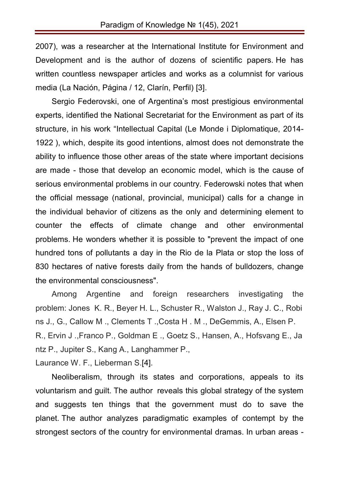2007), was a researcher at the International Institute for Environment and Development and is the author of dozens of scientific papers. He has written countless newspaper articles and works as a columnist for various media (La Nación, Página / 12, Clarín, Perfil) [3].

Sergio Federovski, one of Argentina's most prestigious environmental experts, identified the National Secretariat for the Environment as part of its structure, in his work "Intellectual Capital (Le Monde i Diplomatique, 2014- 1922 ), which, despite its good intentions, almost does not demonstrate the ability to influence those other areas of the state where important decisions are made - those that develop an economic model, which is the cause of serious environmental problems in our country. Federowski notes that when the official message (national, provincial, municipal) calls for a change in the individual behavior of citizens as the only and determining element to counter the effects of climate change and other environmental problems. He wonders whether it is possible to "prevent the impact of one hundred tons of pollutants a day in the Rio de la Plata or stop the loss of 830 hectares of native forests daily from the hands of bulldozers, change the environmental consciousness".

Among Argentine and foreign researchers investigating the problem: Jones K. R., Beyer H. L., Schuster R., Walston J., Ray J. C., Robi ns J., G., Callow M ., Clements T .,Costa H . M ., DeGemmis, A., Elsen P. R., Ervin J .,Franco P., Goldman E ., Goetz S., Hansen, A., Hofsvang E., Ja ntz P., Jupiter S., Kang A., Langhammer P.,

Laurance W. F., Lieberman S.[4].

Neoliberalism, through its states and corporations, appeals to its voluntarism and guilt. The author reveals this global strategy of the system and suggests ten things that the government must do to save the planet. The author analyzes paradigmatic examples of contempt by the strongest sectors of the country for environmental dramas. In urban areas -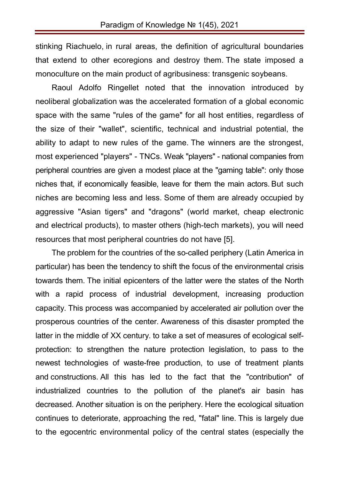stinking Riachuelo, in rural areas, the definition of agricultural boundaries that extend to other ecoregions and destroy them. The state imposed a monoculture on the main product of agribusiness: transgenic soybeans.

Raoul Adolfo Ringellet noted that the innovation introduced by neoliberal globalization was the accelerated formation of a global economic space with the same "rules of the game" for all host entities, regardless of the size of their "wallet", scientific, technical and industrial potential, the ability to adapt to new rules of the game. The winners are the strongest, most experienced "players" - TNCs. Weak "players" - national companies from peripheral countries are given a modest place at the "gaming table": only those niches that, if economically feasible, leave for them the main actors. But such niches are becoming less and less. Some of them are already occupied by aggressive "Asian tigers" and "dragons" (world market, cheap electronic and electrical products), to master others (high-tech markets), you will need resources that most peripheral countries do not have [5].

The problem for the countries of the so-called periphery (Latin America in particular) has been the tendency to shift the focus of the environmental crisis towards them. The initial epicenters of the latter were the states of the North with a rapid process of industrial development, increasing production capacity. This process was accompanied by accelerated air pollution over the prosperous countries of the center. Awareness of this disaster prompted the latter in the middle of XX century. to take a set of measures of ecological selfprotection: to strengthen the nature protection legislation, to pass to the newest technologies of waste-free production, to use of treatment plants and constructions. All this has led to the fact that the "contribution" of industrialized countries to the pollution of the planet's air basin has decreased. Another situation is on the periphery. Here the ecological situation continues to deteriorate, approaching the red, "fatal" line. This is largely due to the egocentric environmental policy of the central states (especially the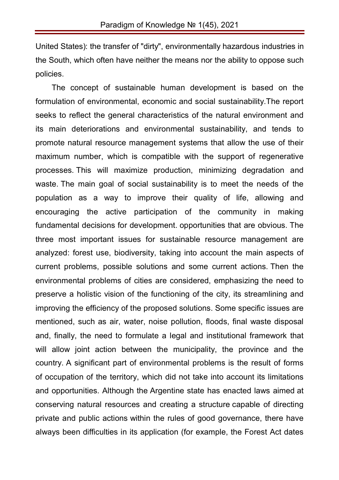United States): the transfer of "dirty", environmentally hazardous industries in the South, which often have neither the means nor the ability to oppose such policies.

The concept of sustainable human development is based on the formulation of environmental, economic and social sustainability.The report seeks to reflect the general characteristics of the natural environment and its main deteriorations and environmental sustainability, and tends to promote natural resource management systems that allow the use of their maximum number, which is compatible with the support of regenerative processes. This will maximize production, minimizing degradation and waste. The main goal of social sustainability is to meet the needs of the population as a way to improve their quality of life, allowing and encouraging the active participation of the community in making fundamental decisions for development. opportunities that are obvious. The three most important issues for sustainable resource management are analyzed: forest use, biodiversity, taking into account the main aspects of current problems, possible solutions and some current actions. Then the environmental problems of cities are considered, emphasizing the need to preserve a holistic vision of the functioning of the city, its streamlining and improving the efficiency of the proposed solutions. Some specific issues are mentioned, such as air, water, noise pollution, floods, final waste disposal and, finally, the need to formulate a legal and institutional framework that will allow joint action between the municipality, the province and the country. A significant part of environmental problems is the result of forms of occupation of the territory, which did not take into account its limitations and opportunities. Although the Argentine state has enacted laws aimed at conserving natural resources and creating a structure capable of directing private and public actions within the rules of good governance, there have always been difficulties in its application (for example, the Forest Act dates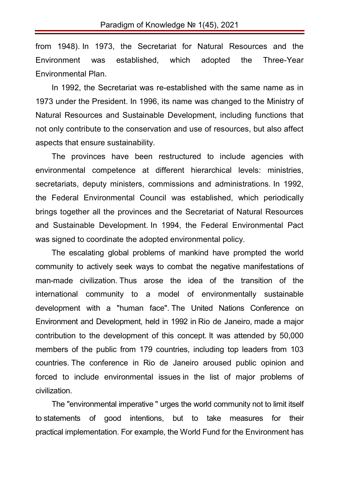from 1948). In 1973, the Secretariat for Natural Resources and the Environment was established, which adopted the Three-Year Environmental Plan.

In 1992, the Secretariat was re-established with the same name as in 1973 under the President. In 1996, its name was changed to the Ministry of Natural Resources and Sustainable Development, including functions that not only contribute to the conservation and use of resources, but also affect aspects that ensure sustainability.

The provinces have been restructured to include agencies with environmental competence at different hierarchical levels: ministries, secretariats, deputy ministers, commissions and administrations. In 1992, the Federal Environmental Council was established, which periodically brings together all the provinces and the Secretariat of Natural Resources and Sustainable Development. In 1994, the Federal Environmental Pact was signed to coordinate the adopted environmental policy.

The escalating global problems of mankind have prompted the world community to actively seek ways to combat the negative manifestations of man-made civilization. Thus arose the idea of the transition of the international community to a model of environmentally sustainable development with a "human face". The United Nations Conference on Environment and Development, held in 1992 in Rio de Janeiro, made a major contribution to the development of this concept. It was attended by 50,000 members of the public from 179 countries, including top leaders from 103 countries. The conference in Rio de Janeiro aroused public opinion and forced to include environmental issues in the list of major problems of civilization.

The "environmental imperative " urges the world community not to limit itself to statements of good intentions, but to take measures for their practical implementation. For example, the World Fund for the Environment has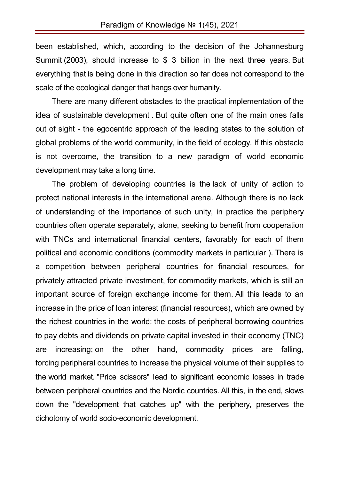been established, which, according to the decision of the Johannesburg Summit (2003), should increase to \$ 3 billion in the next three years. But everything that is being done in this direction so far does not correspond to the scale of the ecological danger that hangs over humanity.

There are many different obstacles to the practical implementation of the idea of sustainable development . But quite often one of the main ones falls out of sight - the egocentric approach of the leading states to the solution of global problems of the world community, in the field of ecology. If this obstacle is not overcome, the transition to a new paradigm of world economic development may take a long time.

The problem of developing countries is the lack of unity of action to protect national interests in the international arena. Although there is no lack of understanding of the importance of such unity, in practice the periphery countries often operate separately, alone, seeking to benefit from cooperation with TNCs and international financial centers, favorably for each of them political and economic conditions (commodity markets in particular ). There is a competition between peripheral countries for financial resources, for privately attracted private investment, for commodity markets, which is still an important source of foreign exchange income for them. All this leads to an increase in the price of loan interest (financial resources), which are owned by the richest countries in the world; the costs of peripheral borrowing countries to pay debts and dividends on private capital invested in their economy (TNC) are increasing; on the other hand, commodity prices are falling, forcing peripheral countries to increase the physical volume of their supplies to the world market. "Price scissors" lead to significant economic losses in trade between peripheral countries and the Nordic countries. All this, in the end, slows down the "development that catches up" with the periphery, preserves the dichotomy of world socio-economic development.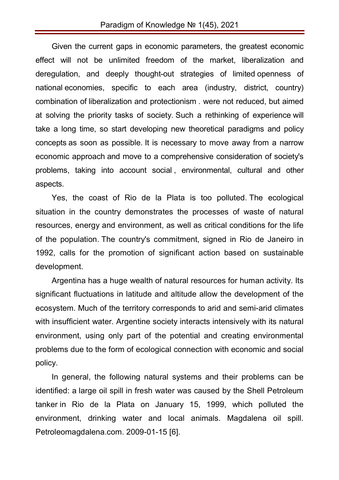Given the current gaps in economic parameters, the greatest economic effect will not be unlimited freedom of the market, liberalization and deregulation, and deeply thought-out strategies of limited openness of national economies, specific to each area (industry, district, country) combination of liberalization and protectionism . were not reduced, but aimed at solving the priority tasks of society. Such a rethinking of experience will take a long time, so start developing new theoretical paradigms and policy concepts as soon as possible. It is necessary to move away from a narrow economic approach and move to a comprehensive consideration of society's problems, taking into account social , environmental, cultural and other aspects.

Yes, the coast of Rio de la Plata is too polluted. The ecological situation in the country demonstrates the processes of waste of natural resources, energy and environment, as well as critical conditions for the life of the population. The country's commitment, signed in Rio de Janeiro in 1992, calls for the promotion of significant action based on sustainable development.

Argentina has a huge wealth of natural resources for human activity. Its significant fluctuations in latitude and altitude allow the development of the ecosystem. Much of the territory corresponds to arid and semi-arid climates with insufficient water. Argentine society interacts intensively with its natural environment, using only part of the potential and creating environmental problems due to the form of ecological connection with economic and social policy.

In general, the following natural systems and their problems can be identified: a large oil spill in fresh water was caused by the Shell Petroleum tanker in Rio de la Plata on January 15, 1999, which polluted the environment, drinking water and local animals. Magdalena oil spill. Petroleomagdalena.com. 2009-01-15 [6].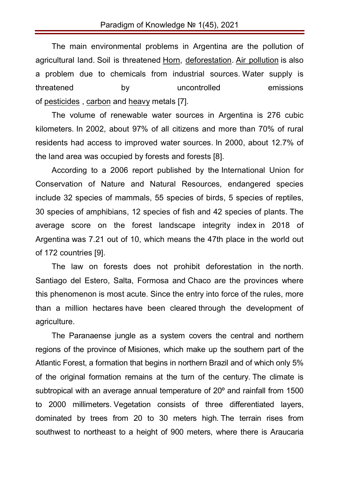The main environmental problems in Argentina are the pollution of agricultural land. Soil is threatened Horn, deforestation. Air pollution is also a problem due to chemicals from industrial sources. Water supply is threatened by uncontrolled emissions of pesticides , carbon and heavy metals [7].

The volume of renewable water sources in Argentina is 276 cubic kilometers. In 2002, about 97% of all citizens and more than 70% of rural residents had access to improved water sources. In 2000, about 12.7% of the land area was occupied by forests and forests [8].

According to a 2006 report published by the International Union for Conservation of Nature and Natural Resources, endangered species include 32 species of mammals, 55 species of birds, 5 species of reptiles, 30 species of amphibians, 12 species of fish and 42 species of plants. The average score on the forest landscape integrity index in 2018 of Argentina was 7.21 out of 10, which means the 47th place in the world out of 172 countries [9].

The law on forests does not prohibit deforestation in the north. Santiago del Estero, Salta, Formosa and Chaco are the provinces where this phenomenon is most acute. Since the entry into force of the rules, more than a million hectares have been cleared through the development of agriculture.

The Paranaense jungle as a system covers the central and northern regions of the province of Misiones, which make up the southern part of the Atlantic Forest, a formation that begins in northern Brazil and of which only 5% of the original formation remains at the turn of the century. The climate is subtropical with an average annual temperature of 20º and rainfall from 1500 to 2000 millimeters. Vegetation consists of three differentiated layers, dominated by trees from 20 to 30 meters high. The terrain rises from southwest to northeast to a height of 900 meters, where there is Araucaria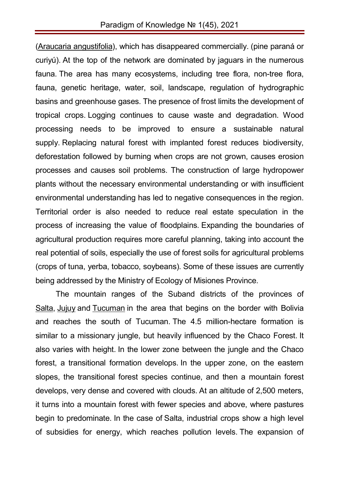(Araucaria angustifolia), which has disappeared commercially. (pine paraná or curiyú). At the top of the network are dominated by jaguars in the numerous fauna. The area has many ecosystems, including tree flora, non-tree flora, fauna, genetic heritage, water, soil, landscape, regulation of hydrographic basins and greenhouse gases. The presence of frost limits the development of tropical crops. Logging continues to cause waste and degradation. Wood processing needs to be improved to ensure a sustainable natural supply. Replacing natural forest with implanted forest reduces biodiversity, deforestation followed by burning when crops are not grown, causes erosion processes and causes soil problems. The construction of large hydropower plants without the necessary environmental understanding or with insufficient environmental understanding has led to negative consequences in the region. Territorial order is also needed to reduce real estate speculation in the process of increasing the value of floodplains. Expanding the boundaries of agricultural production requires more careful planning, taking into account the real potential of soils, especially the use of forest soils for agricultural problems (crops of tuna, yerba, tobacco, soybeans). Some of these issues are currently being addressed by the Ministry of Ecology of Misiones Province.

The mountain ranges of the Suband districts of the provinces of Salta, Jujuy and Tucuman in the area that begins on the border with Bolivia and reaches the south of Tucuman. The 4.5 million-hectare formation is similar to a missionary jungle, but heavily influenced by the Chaco Forest. It also varies with height. In the lower zone between the jungle and the Chaco forest, a transitional formation develops. In the upper zone, on the eastern slopes, the transitional forest species continue, and then a mountain forest develops, very dense and covered with clouds. At an altitude of 2,500 meters, it turns into a mountain forest with fewer species and above, where pastures begin to predominate. In the case of Salta, industrial crops show a high level of subsidies for energy, which reaches pollution levels. The expansion of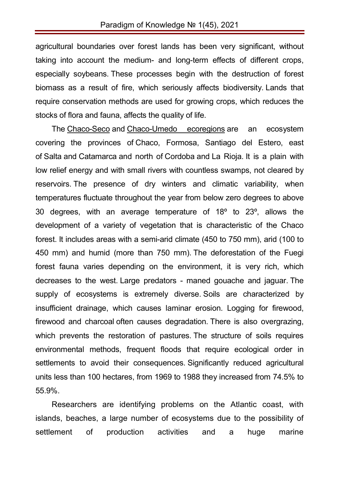agricultural boundaries over forest lands has been very significant, without taking into account the medium- and long-term effects of different crops, especially soybeans. These processes begin with the destruction of forest biomass as a result of fire, which seriously affects biodiversity. Lands that require conservation methods are used for growing crops, which reduces the stocks of flora and fauna, affects the quality of life.

The Chaco-Seco and Chaco-Umedo ecoregions are an ecosystem covering the provinces of Chaco, Formosa, Santiago del Estero, east of Salta and Catamarca and north of Cordoba and La Rioja. It is a plain with low relief energy and with small rivers with countless swamps, not cleared by reservoirs. The presence of dry winters and climatic variability, when temperatures fluctuate throughout the year from below zero degrees to above 30 degrees, with an average temperature of 18º to 23º, allows the development of a variety of vegetation that is characteristic of the Chaco forest. It includes areas with a semi-arid climate (450 to 750 mm), arid (100 to 450 mm) and humid (more than 750 mm). The deforestation of the Fuegi forest fauna varies depending on the environment, it is very rich, which decreases to the west. Large predators - maned gouache and jaguar. The supply of ecosystems is extremely diverse. Soils are characterized by insufficient drainage, which causes laminar erosion. Logging for firewood, firewood and charcoal often causes degradation. There is also overgrazing, which prevents the restoration of pastures. The structure of soils requires environmental methods, frequent floods that require ecological order in settlements to avoid their consequences. Significantly reduced agricultural units less than 100 hectares, from 1969 to 1988 they increased from 74.5% to 55.9%.

Researchers are identifying problems on the Atlantic coast, with islands, beaches, a large number of ecosystems due to the possibility of settlement of production activities and a huge marine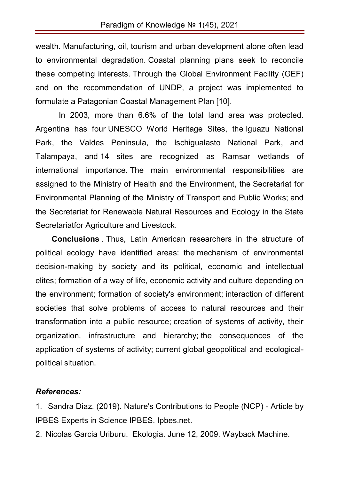wealth. Manufacturing, oil, tourism and urban development alone often lead to environmental degradation. Coastal planning plans seek to reconcile these competing interests. Through the Global Environment Facility (GEF) and on the recommendation of UNDP, a project was implemented to formulate a Patagonian Coastal Management Plan [10].

In 2003, more than 6.6% of the total land area was protected. Argentina has four UNESCO World Heritage Sites, the Iguazu National Park, the Valdes Peninsula, the Ischigualasto National Park, and Talampaya, and 14 sites are recognized as Ramsar wetlands of international importance. The main environmental responsibilities are assigned to the Ministry of Health and the Environment, the Secretariat for Environmental Planning of the Ministry of Transport and Public Works; and the Secretariat for Renewable Natural Resources and Ecology in the State Secretariatfor Agriculture and Livestock.

**Conclusions** . Thus, Latin American researchers in the structure of political ecology have identified areas: the mechanism of environmental decision-making by society and its political, economic and intellectual elites; formation of a way of life, economic activity and culture depending on the environment; formation of society's environment; interaction of different societies that solve problems of access to natural resources and their transformation into a public resource; creation of systems of activity, their organization, infrastructure and hierarchy; the consequences of the application of systems of activity; current global geopolitical and ecologicalpolitical situation.

## *References:*

1. Sandra Diaz. (2019). Nature's Contributions to People (NCP) - Article by IPBES Experts in Science IPBES. Ipbes.net.

2. Nicolas Garcia Uriburu. Ekologia. June 12, 2009. Wayback Machine.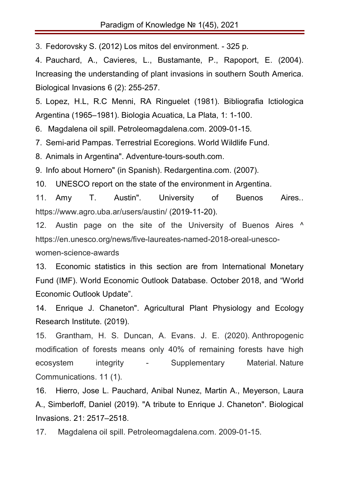3. Fedorovsky S. (2012) Los mitos del environment. - 325 p.

4. Pauchard, A., Cavieres, L., Bustamante, P., Rapoport, E. (2004). Increasing the understanding of plant invasions in southern South America. Biological Invasions 6 (2): 255-257.

5. Lopez, H.L, R.C Menni, RA Ringuelet (1981). Bibliografia Ictiologica Argentina (1965–1981). Biologia Acuatica, La Plata, 1: 1-100.

6. Magdalena oil spill. Petroleomagdalena.com. 2009-01-15.

7. Semi-arid Pampas. Terrestrial Ecoregions. World Wildlife Fund.

8. Animals in Argentina". Adventure-tours-south.com.

9. Info about Hornero" (in Spanish). Redargentina.com. (2007).

10. UNESCO report on the state of the environment in Argentina.

11. Amy T. Austin". University of Buenos Aires.. https://www.agro.uba.ar/users/austin/ (2019-11-20).

12. Austin page on the site of the University of Buenos Aires ^ https://en.unesco.org/news/five-laureates-named-2018-oreal-unesco-

women-science-awards

13. Economic statistics in this section are from International Monetary Fund (IMF). World Economic Outlook Database. October 2018, and "World Economic Outlook Update".

14. Enrique J. Chaneton". Agricultural Plant Physiology and Ecology Research Institute. (2019).

15. Grantham, H. S. Duncan, A. Evans. J. E. (2020). Anthropogenic modification of forests means only 40% of remaining forests have high ecosystem integrity - Supplementary Material. Nature Communications. 11 (1).

16. Hierro, Jose L. Pauchard, Anibal Nunez, Martin A., Meyerson, Laura A., Simberloff, Daniel (2019). "A tribute to Enrique J. Chaneton". Biological Invasions. 21: 2517–2518.

17. Magdalena oil spill. Petroleomagdalena.com. 2009-01-15.